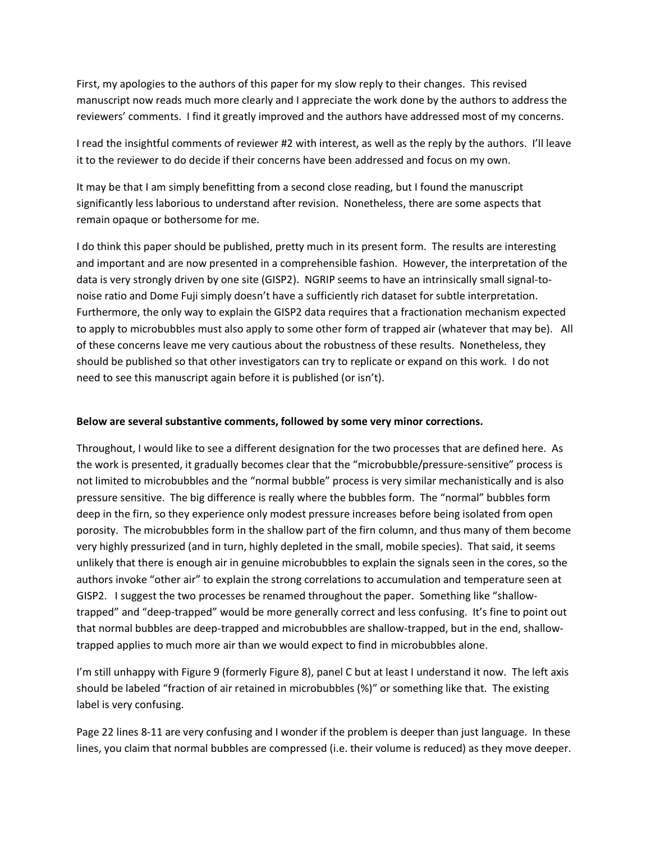First, my apologies to the authors of this paper for my slow reply to their changes. This revised manuscript now reads much more clearly and I appreciate the work done by the authors to address the reviewers' comments. I find it greatly improved and the authors have addressed most of my concerns.

I read the insightful comments of reviewer #2 with interest, as well as the reply by the authors. I'll leave it to the reviewer to do decide if their concerns have been addressed and focus on my own.

It may be that I am simply benefitting from a second close reading, but I found the manuscript significantly less laborious to understand after revision. Nonetheless, there are some aspects that remain opaque or bothersome for me.

I do think this paper should be published, pretty much in its present form. The results are interesting and important and are now presented in a comprehensible fashion. However, the interpretation of the data is very strongly driven by one site (GISP2). NGRIP seems to have an intrinsically small signal-tonoise ratio and Dome Fuji simply doesn't have a sufficiently rich dataset for subtle interpretation. Furthermore, the only way to explain the GISP2 data requires that a fractionation mechanism expected to apply to microbubbles must also apply to some other form of trapped air (whatever that may be). All of these concerns leave me very cautious about the robustness of these results. Nonetheless, they should be published so that other investigators can try to replicate or expand on this work. I do not need to see this manuscript again before it is published (or isn't).

## **Below are several substantive comments, followed by some very minor corrections.**

Throughout, I would like to see a different designation for the two processes that are defined here. As the work is presented, it gradually becomes clear that the "microbubble/pressure-sensitive" process is not limited to microbubbles and the "normal bubble" process is very similar mechanistically and is also pressure sensitive. The big difference is really where the bubbles form. The "normal" bubbles form deep in the firn, so they experience only modest pressure increases before being isolated from open porosity. The microbubbles form in the shallow part of the firn column, and thus many of them become very highly pressurized (and in turn, highly depleted in the small, mobile species). That said, it seems unlikely that there is enough air in genuine microbubbles to explain the signals seen in the cores, so the authors invoke "other air" to explain the strong correlations to accumulation and temperature seen at GISP2. I suggest the two processes be renamed throughout the paper. Something like "shallowtrapped" and "deep-trapped" would be more generally correct and less confusing. It's fine to point out that normal bubbles are deep-trapped and microbubbles are shallow-trapped, but in the end, shallowtrapped applies to much more air than we would expect to find in microbubbles alone.

I'm still unhappy with Figure 9 (formerly Figure 8), panel C but at least I understand it now. The left axis should be labeled "fraction of air retained in microbubbles (%)" or something like that. The existing label is very confusing.

Page 22 lines 8-11 are very confusing and I wonder if the problem is deeper than just language. In these lines, you claim that normal bubbles are compressed (i.e. their volume is reduced) as they move deeper.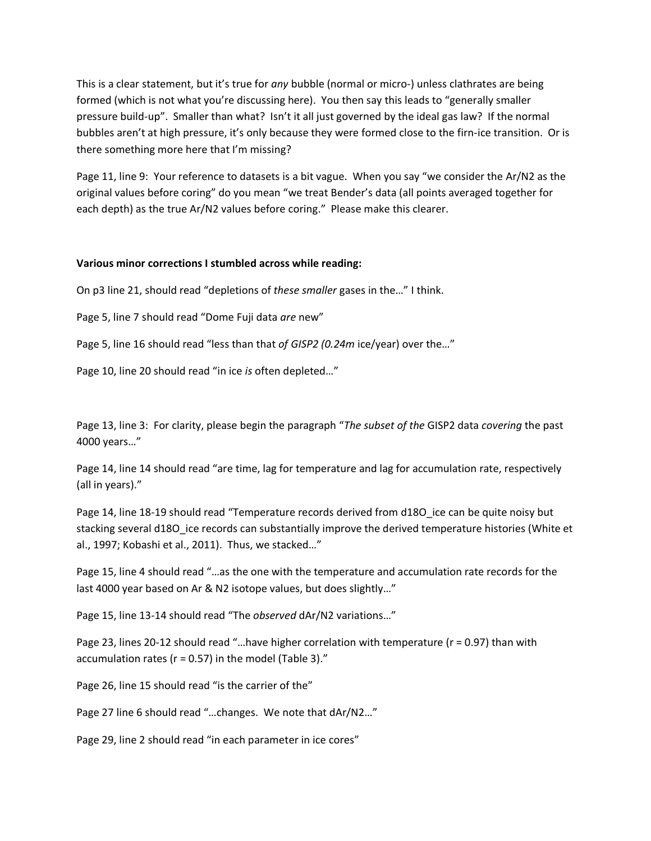This is a clear statement, but it's true for *any* bubble (normal or micro-) unless clathrates are being formed (which is not what you're discussing here). You then say this leads to "generally smaller pressure build-up". Smaller than what? Isn't it all just governed by the ideal gas law? If the normal bubbles aren't at high pressure, it's only because they were formed close to the firn-ice transition. Or is there something more here that I'm missing?

Page 11, line 9: Your reference to datasets is a bit vague. When you say "we consider the Ar/N2 as the original values before coring" do you mean "we treat Bender's data (all points averaged together for each depth) as the true Ar/N2 values before coring." Please make this clearer.

## **Various minor corrections I stumbled across while reading:**

On p3 line 21, should read "depletions of *these smaller* gases in the…" I think.

Page 5, line 7 should read "Dome Fuji data *are* new"

Page 5, line 16 should read "less than that *of GISP2 (0.24m* ice/year) over the…"

Page 10, line 20 should read "in ice *is* often depleted…"

Page 13, line 3: For clarity, please begin the paragraph "*The subset of the* GISP2 data *covering* the past 4000 years…"

Page 14, line 14 should read "are time, lag for temperature and lag for accumulation rate, respectively (all in years)."

Page 14, line 18-19 should read "Temperature records derived from d18O\_ice can be quite noisy but stacking several d18O\_ice records can substantially improve the derived temperature histories (White et al., 1997; Kobashi et al., 2011). Thus, we stacked…"

Page 15, line 4 should read "…as the one with the temperature and accumulation rate records for the last 4000 year based on Ar & N2 isotope values, but does slightly…"

Page 15, line 13-14 should read "The *observed* dAr/N2 variations…"

Page 23, lines 20-12 should read "...have higher correlation with temperature (r = 0.97) than with accumulation rates ( $r = 0.57$ ) in the model (Table 3)."

Page 26, line 15 should read "is the carrier of the"

Page 27 line 6 should read "…changes. We note that dAr/N2…"

Page 29, line 2 should read "in each parameter in ice cores"